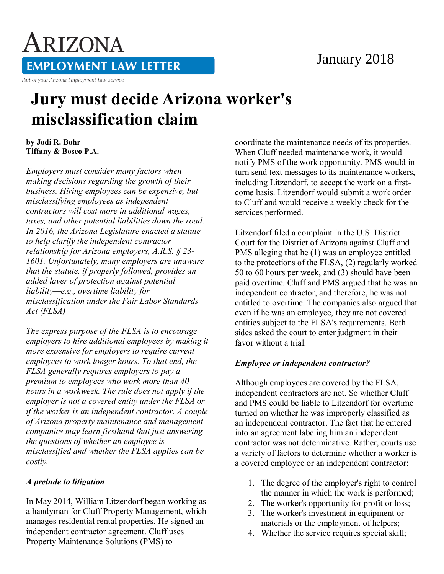### January 2018

# ARIZONA **EMPLOYMENT LAW LETTER**

Part of your Arizona Employment Law Service

## **Jury must decide Arizona worker's misclassification claim**

**by Jodi R. Bohr Tiffany & Bosco P.A.** 

*Employers must consider many factors when making decisions regarding the growth of their business. Hiring employees can be expensive, but misclassifying employees as independent contractors will cost more in additional wages, taxes, and other potential liabilities down the road. In 2016, the Arizona Legislature enacted a statute to help clarify the independent contractor relationship for Arizona employers, A.R.S. § 23- 1601. Unfortunately, many employers are unaware that the statute, if properly followed, provides an added layer of protection against potential liability—e.g., overtime liability for misclassification under the Fair Labor Standards Act (FLSA)*

*The express purpose of the FLSA is to encourage employers to hire additional employees by making it more expensive for employers to require current employees to work longer hours. To that end, the FLSA generally requires employers to pay a premium to employees who work more than 40 hours in a workweek. The rule does not apply if the employer is not a covered entity under the FLSA or if the worker is an independent contractor. A couple of Arizona property maintenance and management companies may learn firsthand that just answering the questions of whether an employee is misclassified and whether the FLSA applies can be costly.*

#### *A prelude to litigation*

In May 2014, William Litzendorf began working as a handyman for Cluff Property Management, which manages residential rental properties. He signed an independent contractor agreement. Cluff uses Property Maintenance Solutions (PMS) to

coordinate the maintenance needs of its properties. When Cluff needed maintenance work, it would notify PMS of the work opportunity. PMS would in turn send text messages to its maintenance workers, including Litzendorf, to accept the work on a firstcome basis. Litzendorf would submit a work order to Cluff and would receive a weekly check for the services performed.

Litzendorf filed a complaint in the U.S. District Court for the District of Arizona against Cluff and PMS alleging that he (1) was an employee entitled to the protections of the FLSA, (2) regularly worked 50 to 60 hours per week, and (3) should have been paid overtime. Cluff and PMS argued that he was an independent contractor, and therefore, he was not entitled to overtime. The companies also argued that even if he was an employee, they are not covered entities subject to the FLSA's requirements. Both sides asked the court to enter judgment in their favor without a trial.

#### *Employee or independent contractor?*

Although employees are covered by the FLSA, independent contractors are not. So whether Cluff and PMS could be liable to Litzendorf for overtime turned on whether he was improperly classified as an independent contractor. The fact that he entered into an agreement labeling him an independent contractor was not determinative. Rather, courts use a variety of factors to determine whether a worker is a covered employee or an independent contractor:

- 1. The degree of the employer's right to control the manner in which the work is performed;
- 2. The worker's opportunity for profit or loss;
- 3. The worker's investment in equipment or materials or the employment of helpers;
- 4. Whether the service requires special skill;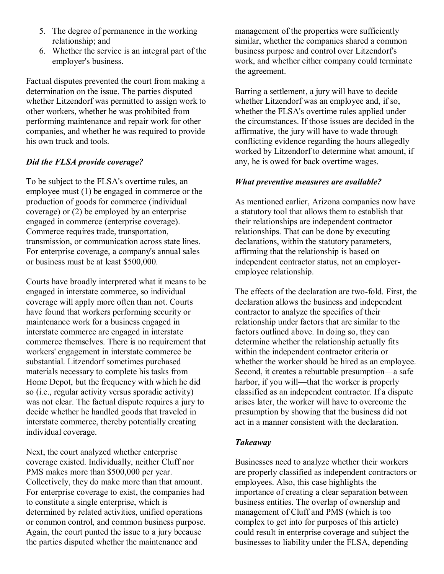- 5. The degree of permanence in the working relationship; and
- 6. Whether the service is an integral part of the employer's business.

Factual disputes prevented the court from making a determination on the issue. The parties disputed whether Litzendorf was permitted to assign work to other workers, whether he was prohibited from performing maintenance and repair work for other companies, and whether he was required to provide his own truck and tools.

#### *Did the FLSA provide coverage?*

To be subject to the FLSA's overtime rules, an employee must (1) be engaged in commerce or the production of goods for commerce (individual coverage) or (2) be employed by an enterprise engaged in commerce (enterprise coverage). Commerce requires trade, transportation, transmission, or communication across state lines. For enterprise coverage, a company's annual sales or business must be at least \$500,000.

Courts have broadly interpreted what it means to be engaged in interstate commerce, so individual coverage will apply more often than not. Courts have found that workers performing security or maintenance work for a business engaged in interstate commerce are engaged in interstate commerce themselves. There is no requirement that workers' engagement in interstate commerce be substantial. Litzendorf sometimes purchased materials necessary to complete his tasks from Home Depot, but the frequency with which he did so (i.e., regular activity versus sporadic activity) was not clear. The factual dispute requires a jury to decide whether he handled goods that traveled in interstate commerce, thereby potentially creating individual coverage.

Next, the court analyzed whether enterprise coverage existed. Individually, neither Cluff nor PMS makes more than \$500,000 per year. Collectively, they do make more than that amount. For enterprise coverage to exist, the companies had to constitute a single enterprise, which is determined by related activities, unified operations or common control, and common business purpose. Again, the court punted the issue to a jury because the parties disputed whether the maintenance and

management of the properties were sufficiently similar, whether the companies shared a common business purpose and control over Litzendorf's work, and whether either company could terminate the agreement.

Barring a settlement, a jury will have to decide whether Litzendorf was an employee and, if so, whether the FLSA's overtime rules applied under the circumstances. If those issues are decided in the affirmative, the jury will have to wade through conflicting evidence regarding the hours allegedly worked by Litzendorf to determine what amount, if any, he is owed for back overtime wages.

#### *What preventive measures are available?*

As mentioned earlier, Arizona companies now have a statutory tool that allows them to establish that their relationships are independent contractor relationships. That can be done by executing declarations, within the statutory parameters, affirming that the relationship is based on independent contractor status, not an employeremployee relationship.

The effects of the declaration are two-fold. First, the declaration allows the business and independent contractor to analyze the specifics of their relationship under factors that are similar to the factors outlined above. In doing so, they can determine whether the relationship actually fits within the independent contractor criteria or whether the worker should be hired as an employee. Second, it creates a rebuttable presumption—a safe harbor, if you will—that the worker is properly classified as an independent contractor. If a dispute arises later, the worker will have to overcome the presumption by showing that the business did not act in a manner consistent with the declaration.

#### *Takeaway*

Businesses need to analyze whether their workers are properly classified as independent contractors or employees. Also, this case highlights the importance of creating a clear separation between business entities. The overlap of ownership and management of Cluff and PMS (which is too complex to get into for purposes of this article) could result in enterprise coverage and subject the businesses to liability under the FLSA, depending